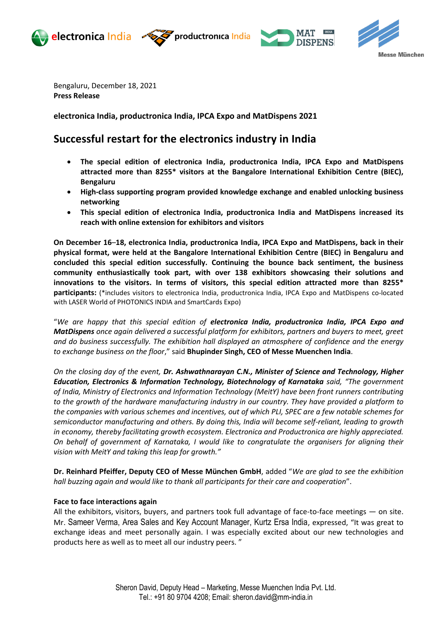







Bengaluru, December 18, 2021 **Press Release**

**electronica India, productronica India, IPCA Expo and MatDispens 2021**

# **Successful restart for the electronics industry in India**

- **The special edition of electronica India, productronica India, IPCA Expo and MatDispens attracted more than 8255\* visitors at the Bangalore International Exhibition Centre (BIEC), Bengaluru**
- **High-class supporting program provided knowledge exchange and enabled unlocking business networking**
- **This special edition of electronica India, productronica India and MatDispens increased its reach with online extension for exhibitors and visitors**

**On December 16**–**18, electronica India, productronica India, IPCA Expo and MatDispens, back in their physical format, were held at the Bangalore International Exhibition Centre (BIEC) in Bengaluru and concluded this special edition successfully. Continuing the bounce back sentiment, the business community enthusiastically took part, with over 138 exhibitors showcasing their solutions and innovations to the visitors. In terms of visitors, this special edition attracted more than 8255\* participants:** (\*includes visitors to electronica India, productronica India, IPCA Expo and MatDispens co-located with LASER World of PHOTONICS INDIA and SmartCards Expo)

"*We are happy that this special edition of electronica India, productronica India, IPCA Expo and MatDispens once again delivered a successful platform for exhibitors, partners and buyers to meet, greet and do business successfully. The exhibition hall displayed an atmosphere of confidence and the energy to exchange business on the floor*," said **Bhupinder Singh, CEO of Messe Muenchen India**.

*On the closing day of the event, Dr. Ashwathnarayan C.N., Minister of Science and Technology, Higher Education, Electronics & Information Technology, Biotechnology of Karnataka said, "The government of India, Ministry of Electronics and Information Technology (MeitY) have been front runners contributing to the growth of the hardware manufacturing industry in our country. They have provided a platform to the companies with various schemes and incentives, out of which PLI, SPEC are a few notable schemes for semiconductor manufacturing and others. By doing this, India will become self-reliant, leading to growth in economy, thereby facilitating growth ecosystem. Electronica and Productronica are highly appreciated. On behalf of government of Karnataka, I would like to congratulate the organisers for aligning their vision with MeitY and taking this leap for growth."*

**Dr. Reinhard Pfeiffer, Deputy CEO of Messe München GmbH**, added "*We are glad to see the exhibition hall buzzing again and would like to thank all participants for their care and cooperation*".

# **Face to face interactions again**

All the exhibitors, visitors, buyers, and partners took full advantage of face-to-face meetings — on site. Mr. Sameer Verma, Area Sales and Key Account Manager, Kurtz Ersa India, expressed, "It was great to exchange ideas and meet personally again. I was especially excited about our new technologies and products here as well as to meet all our industry peers. "